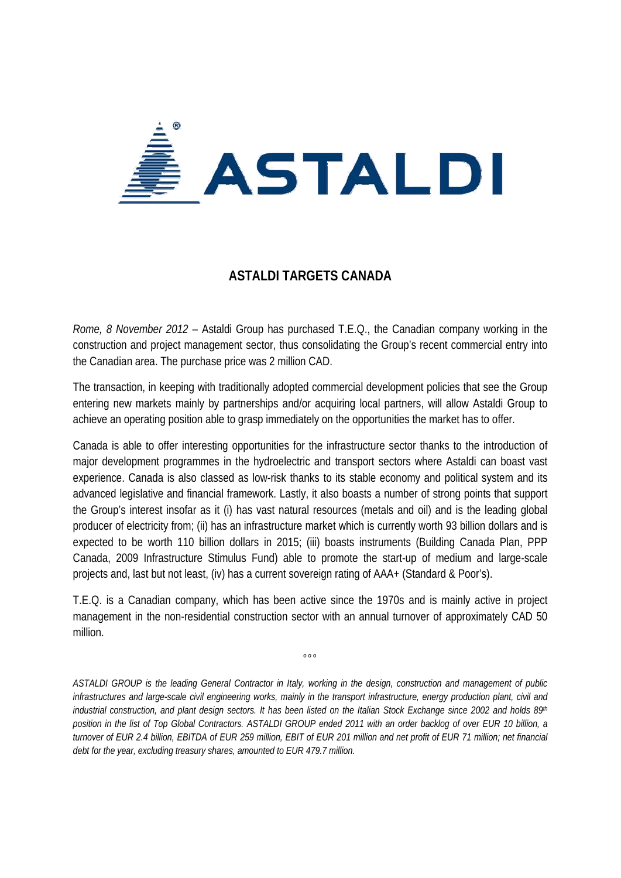

## **ASTALDI TARGETS CANADA**

*Rome, 8 November 2012* – Astaldi Group has purchased T.E.Q., the Canadian company working in the construction and project management sector, thus consolidating the Group's recent commercial entry into the Canadian area. The purchase price was 2 million CAD.

The transaction, in keeping with traditionally adopted commercial development policies that see the Group entering new markets mainly by partnerships and/or acquiring local partners, will allow Astaldi Group to achieve an operating position able to grasp immediately on the opportunities the market has to offer.

Canada is able to offer interesting opportunities for the infrastructure sector thanks to the introduction of major development programmes in the hydroelectric and transport sectors where Astaldi can boast vast experience. Canada is also classed as low-risk thanks to its stable economy and political system and its advanced legislative and financial framework. Lastly, it also boasts a number of strong points that support the Group's interest insofar as it (i) has vast natural resources (metals and oil) and is the leading global producer of electricity from; (ii) has an infrastructure market which is currently worth 93 billion dollars and is expected to be worth 110 billion dollars in 2015; (iii) boasts instruments (Building Canada Plan, PPP Canada, 2009 Infrastructure Stimulus Fund) able to promote the start-up of medium and large-scale projects and, last but not least, (iv) has a current sovereign rating of AAA+ (Standard & Poor's).

T.E.Q. is a Canadian company, which has been active since the 1970s and is mainly active in project management in the non-residential construction sector with an annual turnover of approximately CAD 50 million.

 $^{\circ}$ °

*ASTALDI GROUP is the leading General Contractor in Italy, working in the design, construction and management of public infrastructures and large-scale civil engineering works, mainly in the transport infrastructure, energy production plant, civil and industrial construction, and plant design sectors. It has been listed on the Italian Stock Exchange since 2002 and holds 89th position in the list of Top Global Contractors. ASTALDI GROUP ended 2011 with an order backlog of over EUR 10 billion, a turnover of EUR 2.4 billion, EBITDA of EUR 259 million, EBIT of EUR 201 million and net profit of EUR 71 million; net financial debt for the year, excluding treasury shares, amounted to EUR 479.7 million.*